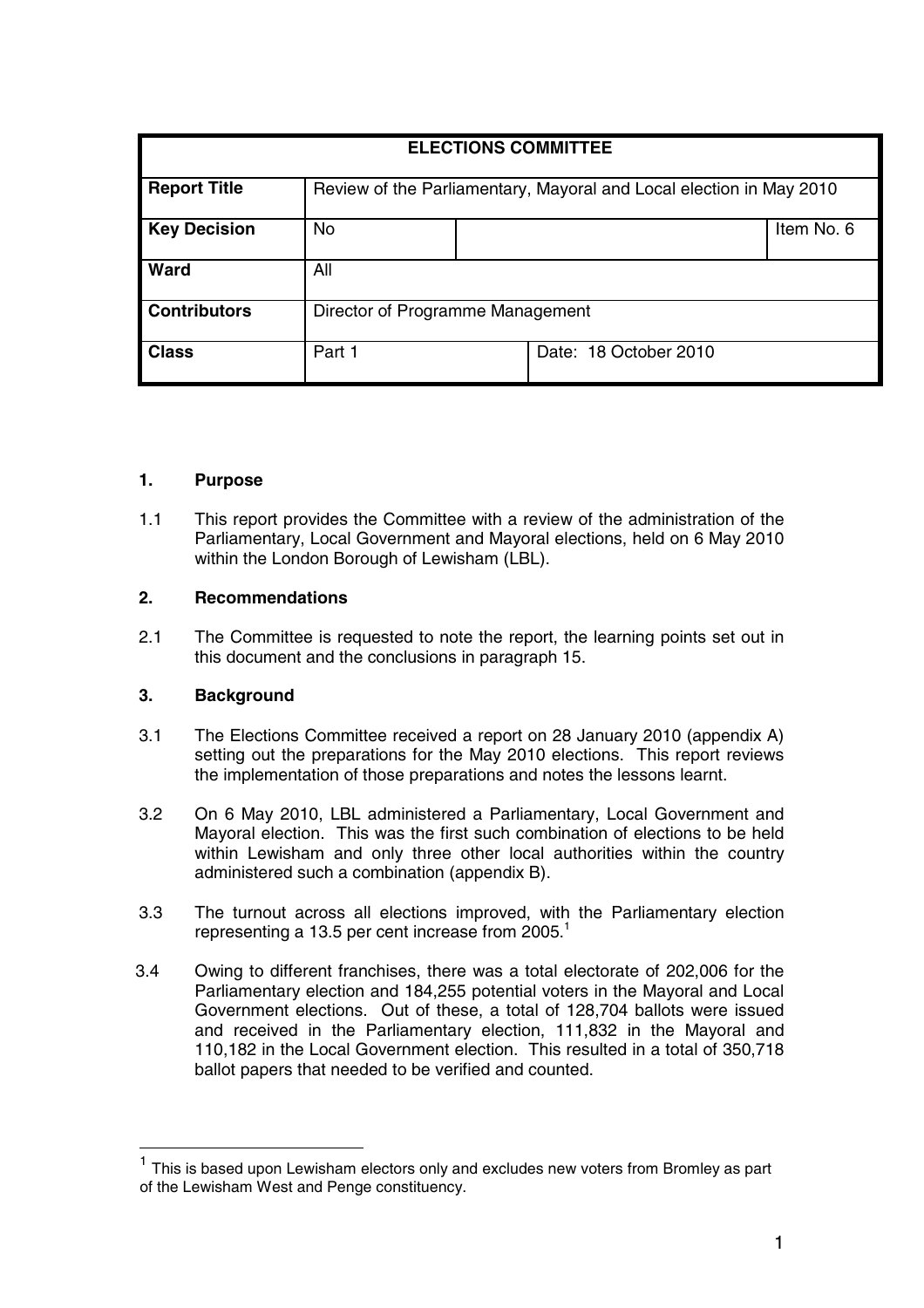| <b>ELECTIONS COMMITTEE</b> |                                                                     |  |                       |            |
|----------------------------|---------------------------------------------------------------------|--|-----------------------|------------|
| <b>Report Title</b>        | Review of the Parliamentary, Mayoral and Local election in May 2010 |  |                       |            |
| <b>Key Decision</b>        | <b>No</b>                                                           |  |                       | Item No. 6 |
| <b>Ward</b>                | All                                                                 |  |                       |            |
| <b>Contributors</b>        | Director of Programme Management                                    |  |                       |            |
| <b>Class</b>               | Part 1                                                              |  | Date: 18 October 2010 |            |

## **1. Purpose**

1.1 This report provides the Committee with a review of the administration of the Parliamentary, Local Government and Mayoral elections, held on 6 May 2010 within the London Borough of Lewisham (LBL).

## **2. Recommendations**

2.1 The Committee is requested to note the report, the learning points set out in this document and the conclusions in paragraph 15.

# **3. Background**

- 3.1 The Elections Committee received a report on 28 January 2010 (appendix A) setting out the preparations for the May 2010 elections. This report reviews the implementation of those preparations and notes the lessons learnt.
- 3.2 On 6 May 2010, LBL administered a Parliamentary, Local Government and Mayoral election. This was the first such combination of elections to be held within Lewisham and only three other local authorities within the country administered such a combination (appendix B).
- 3.3 The turnout across all elections improved, with the Parliamentary election representing a 13.5 per cent increase from 2005.<sup>1</sup>
- 3.4 Owing to different franchises, there was a total electorate of 202,006 for the Parliamentary election and 184,255 potential voters in the Mayoral and Local Government elections. Out of these, a total of 128,704 ballots were issued and received in the Parliamentary election, 111,832 in the Mayoral and 110,182 in the Local Government election. This resulted in a total of 350,718 ballot papers that needed to be verified and counted.

 $<sup>1</sup>$  This is based upon Lewisham electors only and excludes new voters from Bromley as part</sup> of the Lewisham West and Penge constituency.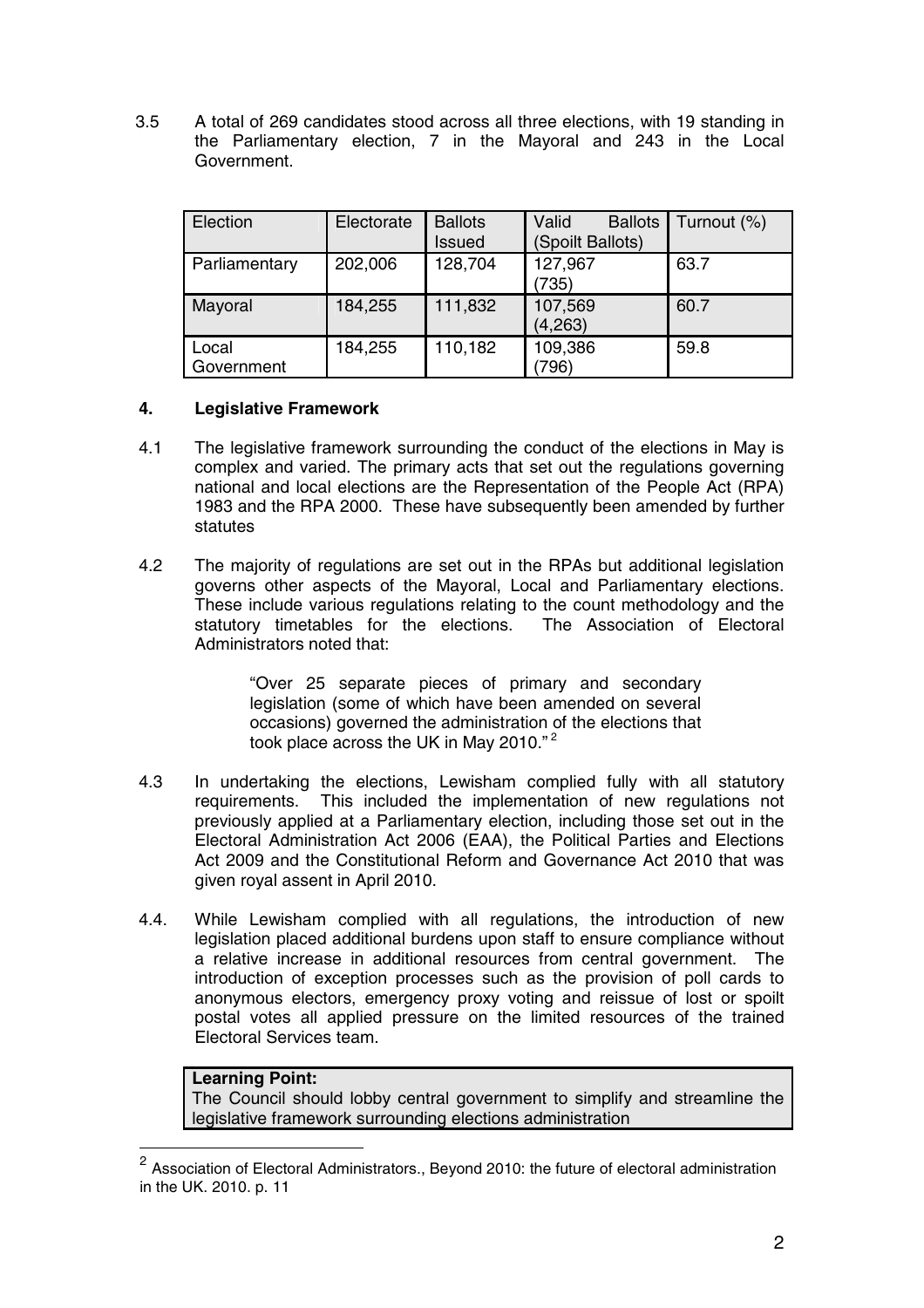3.5 A total of 269 candidates stood across all three elections, with 19 standing in the Parliamentary election, 7 in the Mayoral and 243 in the Local Government.

| Election            | Electorate | <b>Ballots</b><br>Issued | Valid<br><b>Ballots</b><br>(Spoilt Ballots) | Turnout (%) |
|---------------------|------------|--------------------------|---------------------------------------------|-------------|
| Parliamentary       | 202,006    | 128,704                  | 127,967<br>(735)                            | 63.7        |
| Mayoral             | 184,255    | 111,832                  | 107,569<br>(4, 263)                         | 60.7        |
| Local<br>Government | 184,255    | 110,182                  | 109,386<br>796)                             | 59.8        |

## **4. Legislative Framework**

- 4.1 The legislative framework surrounding the conduct of the elections in May is complex and varied. The primary acts that set out the regulations governing national and local elections are the Representation of the People Act (RPA) 1983 and the RPA 2000. These have subsequently been amended by further statutes
- 4.2 The majority of regulations are set out in the RPAs but additional legislation governs other aspects of the Mayoral, Local and Parliamentary elections. These include various regulations relating to the count methodology and the statutory timetables for the elections. The Association of Electoral Administrators noted that:

"Over 25 separate pieces of primary and secondary legislation (some of which have been amended on several occasions) governed the administration of the elections that took place across the UK in May 2010."<sup>2</sup>

- 4.3 In undertaking the elections, Lewisham complied fully with all statutory requirements. This included the implementation of new regulations not previously applied at a Parliamentary election, including those set out in the Electoral Administration Act 2006 (EAA), the Political Parties and Elections Act 2009 and the Constitutional Reform and Governance Act 2010 that was given royal assent in April 2010.
- 4.4. While Lewisham complied with all regulations, the introduction of new legislation placed additional burdens upon staff to ensure compliance without a relative increase in additional resources from central government. The introduction of exception processes such as the provision of poll cards to anonymous electors, emergency proxy voting and reissue of lost or spoilt postal votes all applied pressure on the limited resources of the trained Electoral Services team.

# **Learning Point:**

The Council should lobby central government to simplify and streamline the legislative framework surrounding elections administration

 $2$  Association of Electoral Administrators., Beyond 2010: the future of electoral administration in the UK. 2010. p. 11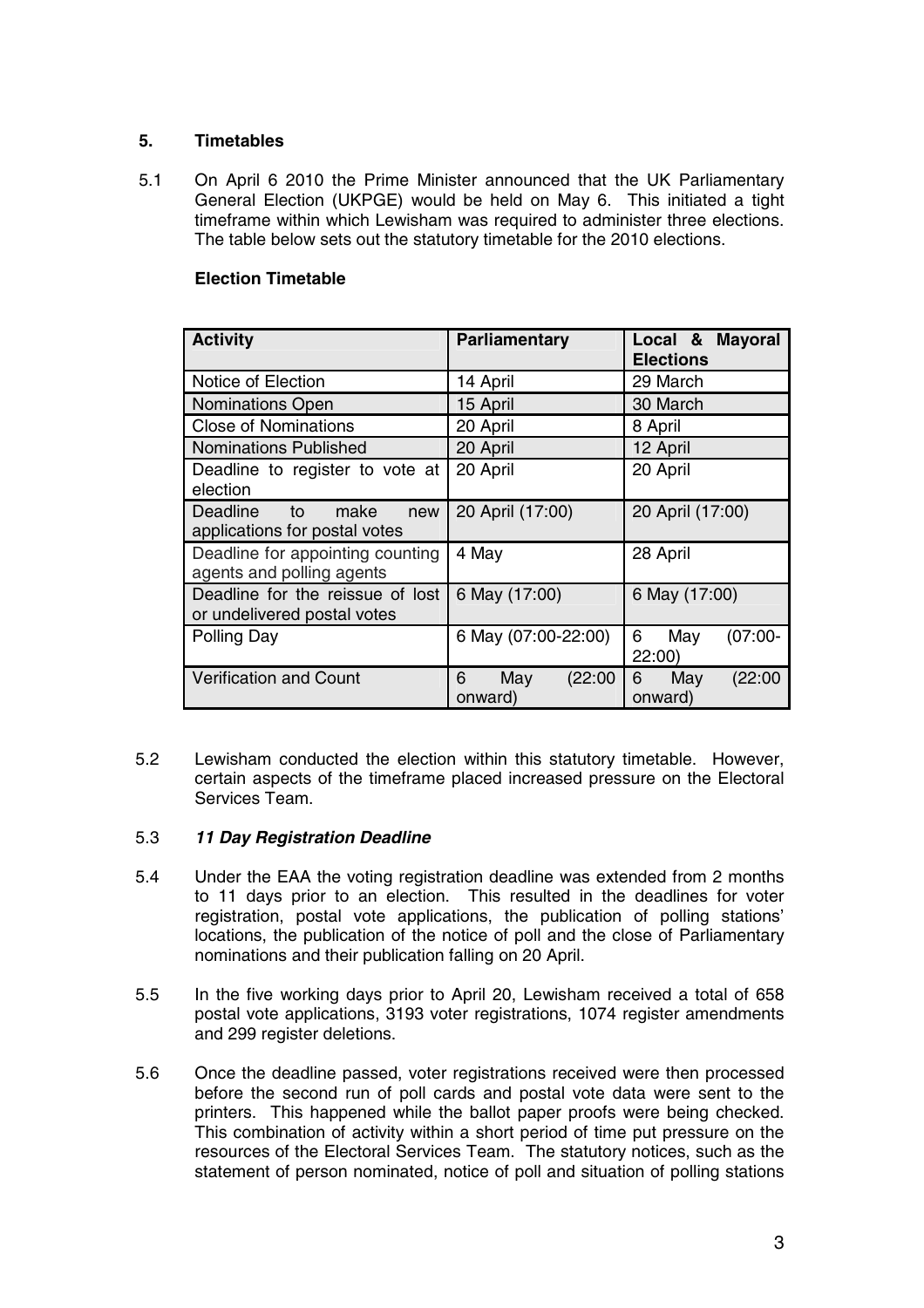## **5. Timetables**

5.1 On April 6 2010 the Prime Minister announced that the UK Parliamentary General Election (UKPGE) would be held on May 6. This initiated a tight timeframe within which Lewisham was required to administer three elections. The table below sets out the statutory timetable for the 2010 elections.

## **Election Timetable**

| <b>Activity</b>                                                 | Parliamentary                  | Local & Mayoral<br><b>Elections</b> |  |
|-----------------------------------------------------------------|--------------------------------|-------------------------------------|--|
| Notice of Election                                              | 14 April                       | 29 March                            |  |
| <b>Nominations Open</b>                                         | 15 April                       | 30 March                            |  |
| <b>Close of Nominations</b>                                     | 20 April                       | 8 April                             |  |
| <b>Nominations Published</b>                                    | 20 April                       | 12 April                            |  |
| Deadline to register to vote at<br>election                     | 20 April                       | 20 April                            |  |
| Deadline to<br>make<br>new<br>applications for postal votes     | 20 April (17:00)               | 20 April (17:00)                    |  |
| Deadline for appointing counting<br>agents and polling agents   | 4 May                          | 28 April                            |  |
| Deadline for the reissue of lost<br>or undelivered postal votes | 6 May (17:00)                  | 6 May (17:00)                       |  |
| Polling Day                                                     | 6 May (07:00-22:00)            | 6<br>$(07:00 -$<br>May<br>22:00     |  |
| <b>Verification and Count</b>                                   | May<br>(22:00)<br>6<br>onward) | May<br>(22:00)<br>6<br>onward)      |  |

5.2 Lewisham conducted the election within this statutory timetable. However, certain aspects of the timeframe placed increased pressure on the Electoral Services Team.

## 5.3 **11 Day Registration Deadline**

- 5.4 Under the EAA the voting registration deadline was extended from 2 months to 11 days prior to an election. This resulted in the deadlines for voter registration, postal vote applications, the publication of polling stations' locations, the publication of the notice of poll and the close of Parliamentary nominations and their publication falling on 20 April.
- 5.5 In the five working days prior to April 20, Lewisham received a total of 658 postal vote applications, 3193 voter registrations, 1074 register amendments and 299 register deletions.
- 5.6 Once the deadline passed, voter registrations received were then processed before the second run of poll cards and postal vote data were sent to the printers. This happened while the ballot paper proofs were being checked. This combination of activity within a short period of time put pressure on the resources of the Electoral Services Team. The statutory notices, such as the statement of person nominated, notice of poll and situation of polling stations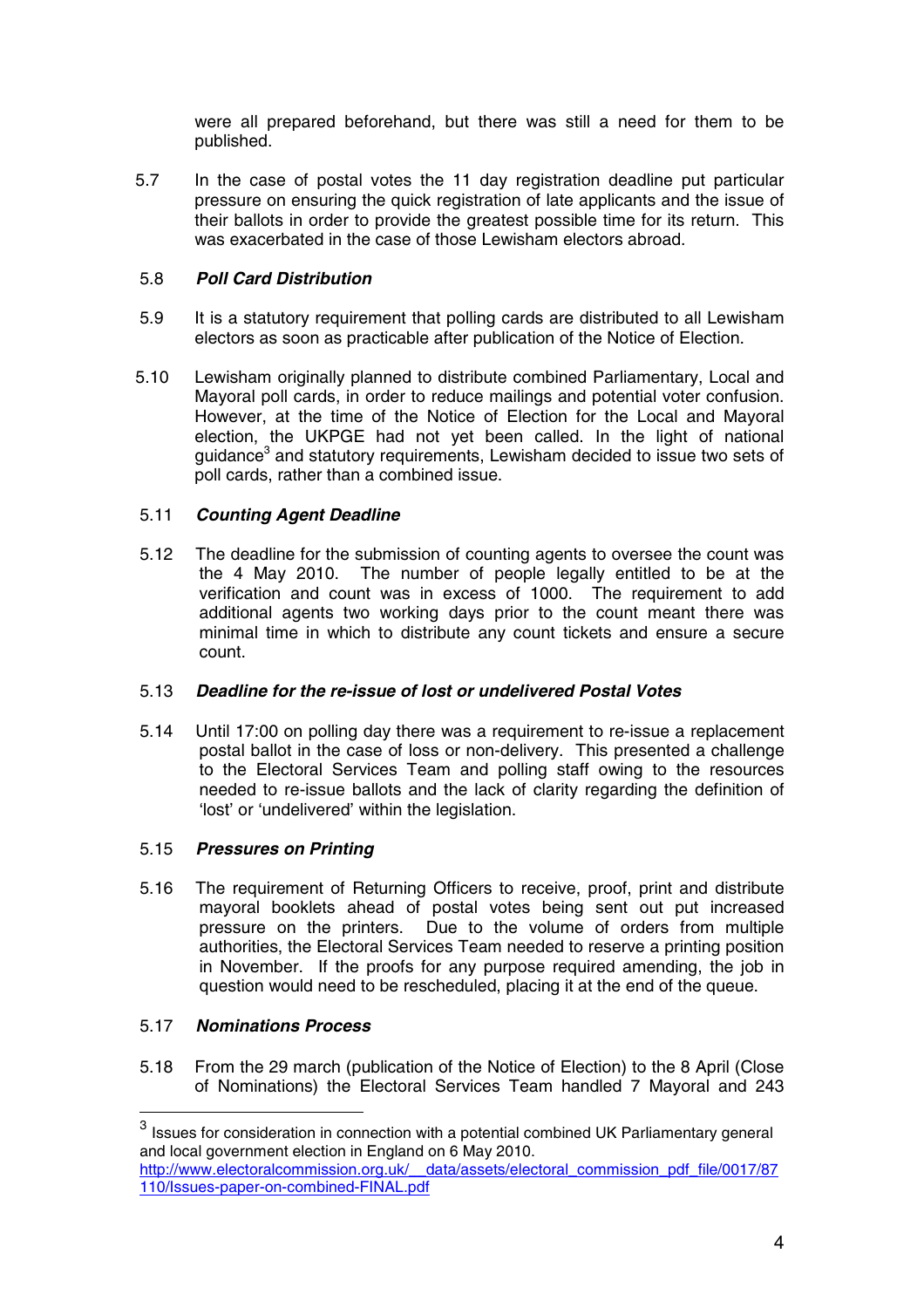were all prepared beforehand, but there was still a need for them to be published.

5.7 In the case of postal votes the 11 day registration deadline put particular pressure on ensuring the quick registration of late applicants and the issue of their ballots in order to provide the greatest possible time for its return. This was exacerbated in the case of those Lewisham electors abroad.

## 5.8 **Poll Card Distribution**

- 5.9 It is a statutory requirement that polling cards are distributed to all Lewisham electors as soon as practicable after publication of the Notice of Election.
- 5.10 Lewisham originally planned to distribute combined Parliamentary, Local and Mayoral poll cards, in order to reduce mailings and potential voter confusion. However, at the time of the Notice of Election for the Local and Mayoral election, the UKPGE had not yet been called. In the light of national quidance<sup>3</sup> and statutory requirements, Lewisham decided to issue two sets of poll cards, rather than a combined issue.

## 5.11 **Counting Agent Deadline**

5.12 The deadline for the submission of counting agents to oversee the count was the 4 May 2010. The number of people legally entitled to be at the verification and count was in excess of 1000. The requirement to add additional agents two working days prior to the count meant there was minimal time in which to distribute any count tickets and ensure a secure count.

# 5.13 **Deadline for the re-issue of lost or undelivered Postal Votes**

5.14 Until 17:00 on polling day there was a requirement to re-issue a replacement postal ballot in the case of loss or non-delivery. This presented a challenge to the Electoral Services Team and polling staff owing to the resources needed to re-issue ballots and the lack of clarity regarding the definition of 'lost' or 'undelivered' within the legislation.

# 5.15 **Pressures on Printing**

5.16 The requirement of Returning Officers to receive, proof, print and distribute mayoral booklets ahead of postal votes being sent out put increased pressure on the printers. Due to the volume of orders from multiple authorities, the Electoral Services Team needed to reserve a printing position in November. If the proofs for any purpose required amending, the job in question would need to be rescheduled, placing it at the end of the queue.

# 5.17 **Nominations Process**

5.18 From the 29 march (publication of the Notice of Election) to the 8 April (Close of Nominations) the Electoral Services Team handled 7 Mayoral and 243

 $3$  Issues for consideration in connection with a potential combined UK Parliamentary general and local government election in England on 6 May 2010.

http://www.electoralcommission.org.uk/\_\_data/assets/electoral\_commission\_pdf\_file/0017/87 110/Issues-paper-on-combined-FINAL.pdf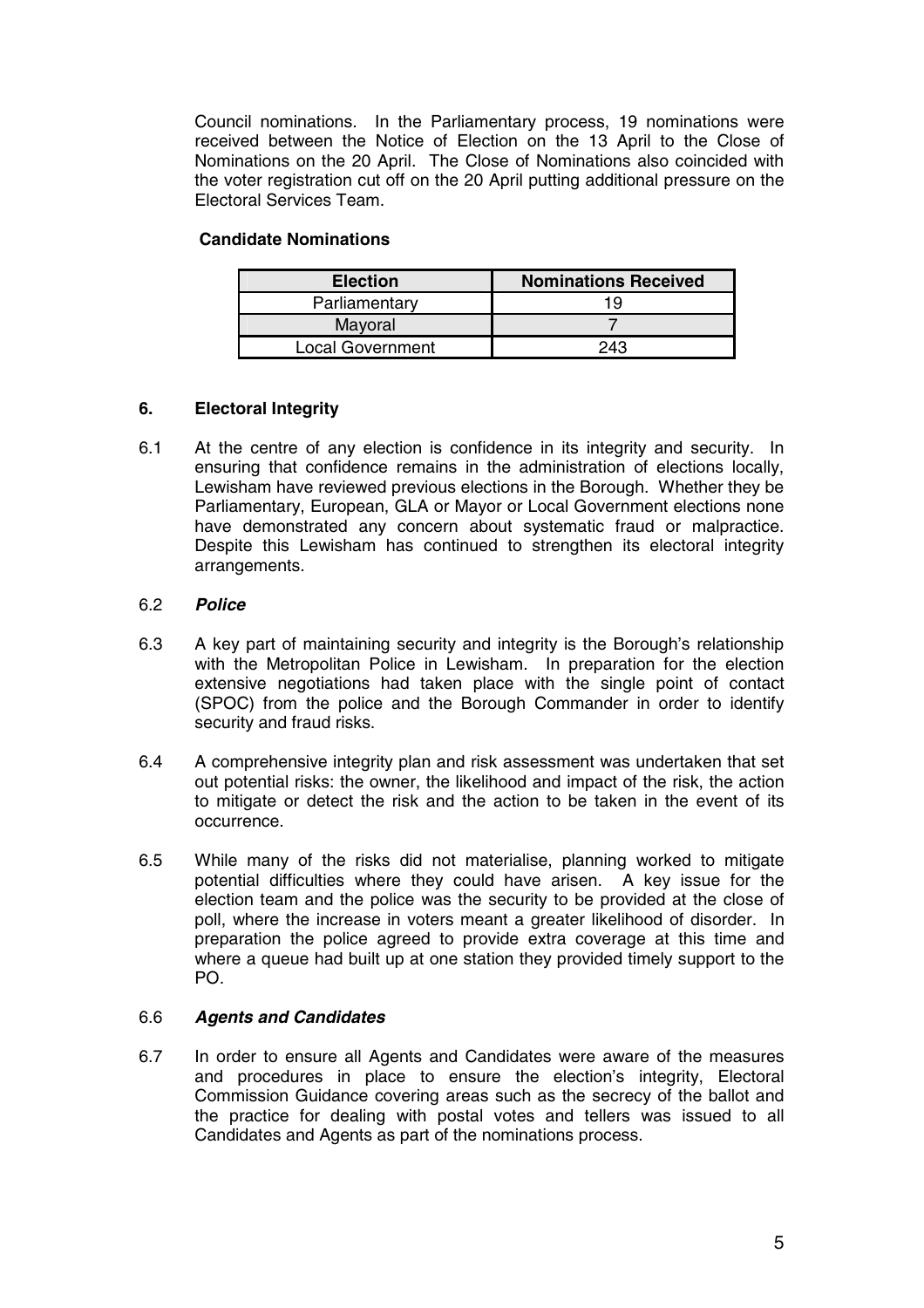Council nominations. In the Parliamentary process, 19 nominations were received between the Notice of Election on the 13 April to the Close of Nominations on the 20 April. The Close of Nominations also coincided with the voter registration cut off on the 20 April putting additional pressure on the Electoral Services Team.

### **Candidate Nominations**

| <b>Election</b>  | <b>Nominations Received</b> |
|------------------|-----------------------------|
| Parliamentary    | 19                          |
| Mayoral          |                             |
| Local Government | 243                         |

## **6. Electoral Integrity**

6.1 At the centre of any election is confidence in its integrity and security. In ensuring that confidence remains in the administration of elections locally, Lewisham have reviewed previous elections in the Borough. Whether they be Parliamentary, European, GLA or Mayor or Local Government elections none have demonstrated any concern about systematic fraud or malpractice. Despite this Lewisham has continued to strengthen its electoral integrity arrangements.

### 6.2 **Police**

- 6.3 A key part of maintaining security and integrity is the Borough's relationship with the Metropolitan Police in Lewisham. In preparation for the election extensive negotiations had taken place with the single point of contact (SPOC) from the police and the Borough Commander in order to identify security and fraud risks.
- 6.4 A comprehensive integrity plan and risk assessment was undertaken that set out potential risks: the owner, the likelihood and impact of the risk, the action to mitigate or detect the risk and the action to be taken in the event of its occurrence.
- 6.5 While many of the risks did not materialise, planning worked to mitigate potential difficulties where they could have arisen. A key issue for the election team and the police was the security to be provided at the close of poll, where the increase in voters meant a greater likelihood of disorder. In preparation the police agreed to provide extra coverage at this time and where a queue had built up at one station they provided timely support to the PO.

#### 6.6 **Agents and Candidates**

6.7 In order to ensure all Agents and Candidates were aware of the measures and procedures in place to ensure the election's integrity, Electoral Commission Guidance covering areas such as the secrecy of the ballot and the practice for dealing with postal votes and tellers was issued to all Candidates and Agents as part of the nominations process.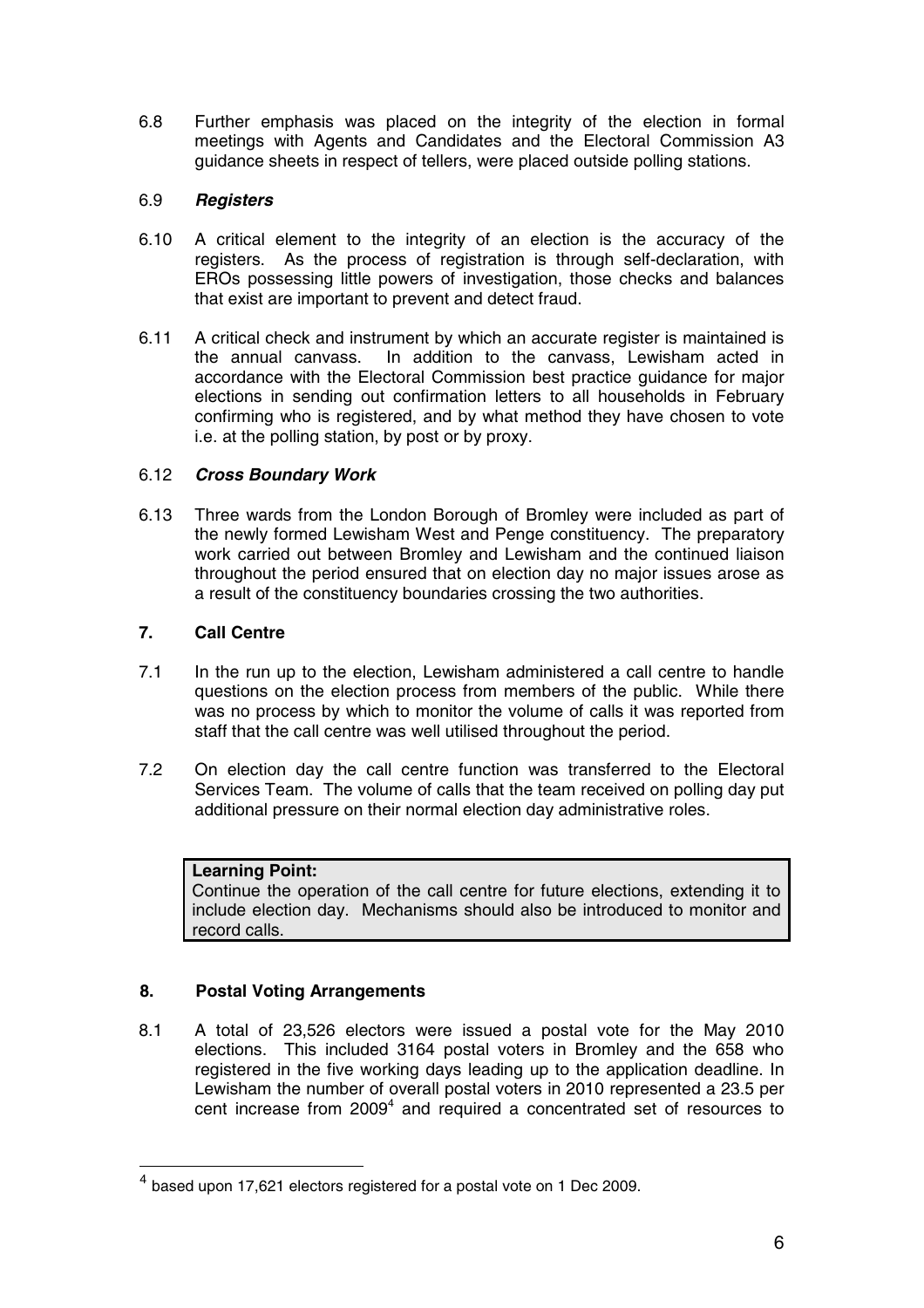6.8 Further emphasis was placed on the integrity of the election in formal meetings with Agents and Candidates and the Electoral Commission A3 guidance sheets in respect of tellers, were placed outside polling stations.

## 6.9 **Registers**

- 6.10 A critical element to the integrity of an election is the accuracy of the registers. As the process of registration is through self-declaration, with EROs possessing little powers of investigation, those checks and balances that exist are important to prevent and detect fraud.
- 6.11 A critical check and instrument by which an accurate register is maintained is the annual canvass. In addition to the canvass, Lewisham acted in accordance with the Electoral Commission best practice guidance for major elections in sending out confirmation letters to all households in February confirming who is registered, and by what method they have chosen to vote i.e. at the polling station, by post or by proxy.

## 6.12 **Cross Boundary Work**

6.13 Three wards from the London Borough of Bromley were included as part of the newly formed Lewisham West and Penge constituency. The preparatory work carried out between Bromley and Lewisham and the continued liaison throughout the period ensured that on election day no major issues arose as a result of the constituency boundaries crossing the two authorities.

# **7. Call Centre**

- 7.1 In the run up to the election, Lewisham administered a call centre to handle questions on the election process from members of the public. While there was no process by which to monitor the volume of calls it was reported from staff that the call centre was well utilised throughout the period.
- 7.2 On election day the call centre function was transferred to the Electoral Services Team. The volume of calls that the team received on polling day put additional pressure on their normal election day administrative roles.

## **Learning Point:**

Continue the operation of the call centre for future elections, extending it to include election day. Mechanisms should also be introduced to monitor and record calls.

## **8. Postal Voting Arrangements**

8.1 A total of 23,526 electors were issued a postal vote for the May 2010 elections. This included 3164 postal voters in Bromley and the 658 who registered in the five working days leading up to the application deadline. In Lewisham the number of overall postal voters in 2010 represented a 23.5 per cent increase from  $2009<sup>4</sup>$  and required a concentrated set of resources to

 $<sup>4</sup>$  based upon 17,621 electors registered for a postal vote on 1 Dec 2009.</sup>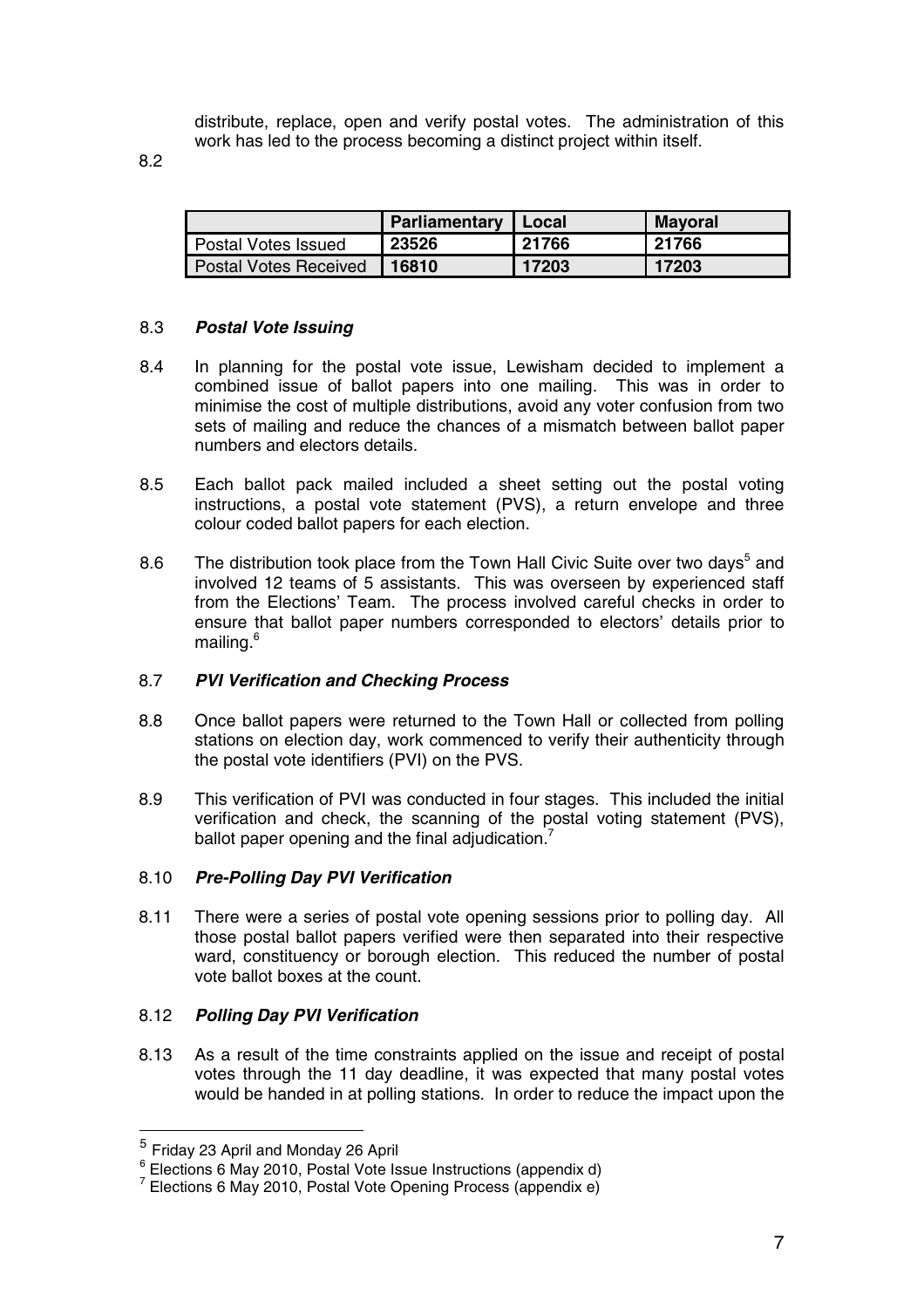distribute, replace, open and verify postal votes. The administration of this work has led to the process becoming a distinct project within itself.

8.2

|                              | Parliamentary | Local | <b>Mayoral</b> |
|------------------------------|---------------|-------|----------------|
| Postal Votes Issued          | 23526         | 21766 | 21766          |
| <b>Postal Votes Received</b> | 16810         | 17203 | 17203          |

## 8.3 **Postal Vote Issuing**

- 8.4 In planning for the postal vote issue, Lewisham decided to implement a combined issue of ballot papers into one mailing. This was in order to minimise the cost of multiple distributions, avoid any voter confusion from two sets of mailing and reduce the chances of a mismatch between ballot paper numbers and electors details.
- 8.5 Each ballot pack mailed included a sheet setting out the postal voting instructions, a postal vote statement (PVS), a return envelope and three colour coded ballot papers for each election.
- 8.6 The distribution took place from the Town Hall Civic Suite over two days<sup>5</sup> and involved 12 teams of 5 assistants. This was overseen by experienced staff from the Elections' Team. The process involved careful checks in order to ensure that ballot paper numbers corresponded to electors' details prior to mailing.<sup>6</sup>

#### 8.7 **PVI Verification and Checking Process**

- 8.8 Once ballot papers were returned to the Town Hall or collected from polling stations on election day, work commenced to verify their authenticity through the postal vote identifiers (PVI) on the PVS.
- 8.9 This verification of PVI was conducted in four stages. This included the initial verification and check, the scanning of the postal voting statement (PVS), ballot paper opening and the final adjudication.<sup>7</sup>

#### 8.10 **Pre-Polling Day PVI Verification**

8.11 There were a series of postal vote opening sessions prior to polling day. All those postal ballot papers verified were then separated into their respective ward, constituency or borough election. This reduced the number of postal vote ballot boxes at the count.

#### 8.12 **Polling Day PVI Verification**

8.13 As a result of the time constraints applied on the issue and receipt of postal votes through the 11 day deadline, it was expected that many postal votes would be handed in at polling stations. In order to reduce the impact upon the

 $^5$  Friday 23 April and Monday 26 April<br> $^6$  Elections 6 May 2010, Postal Vote Issue Instructions (appendix d)

 $7$  Elections 6 May 2010, Postal Vote Opening Process (appendix e)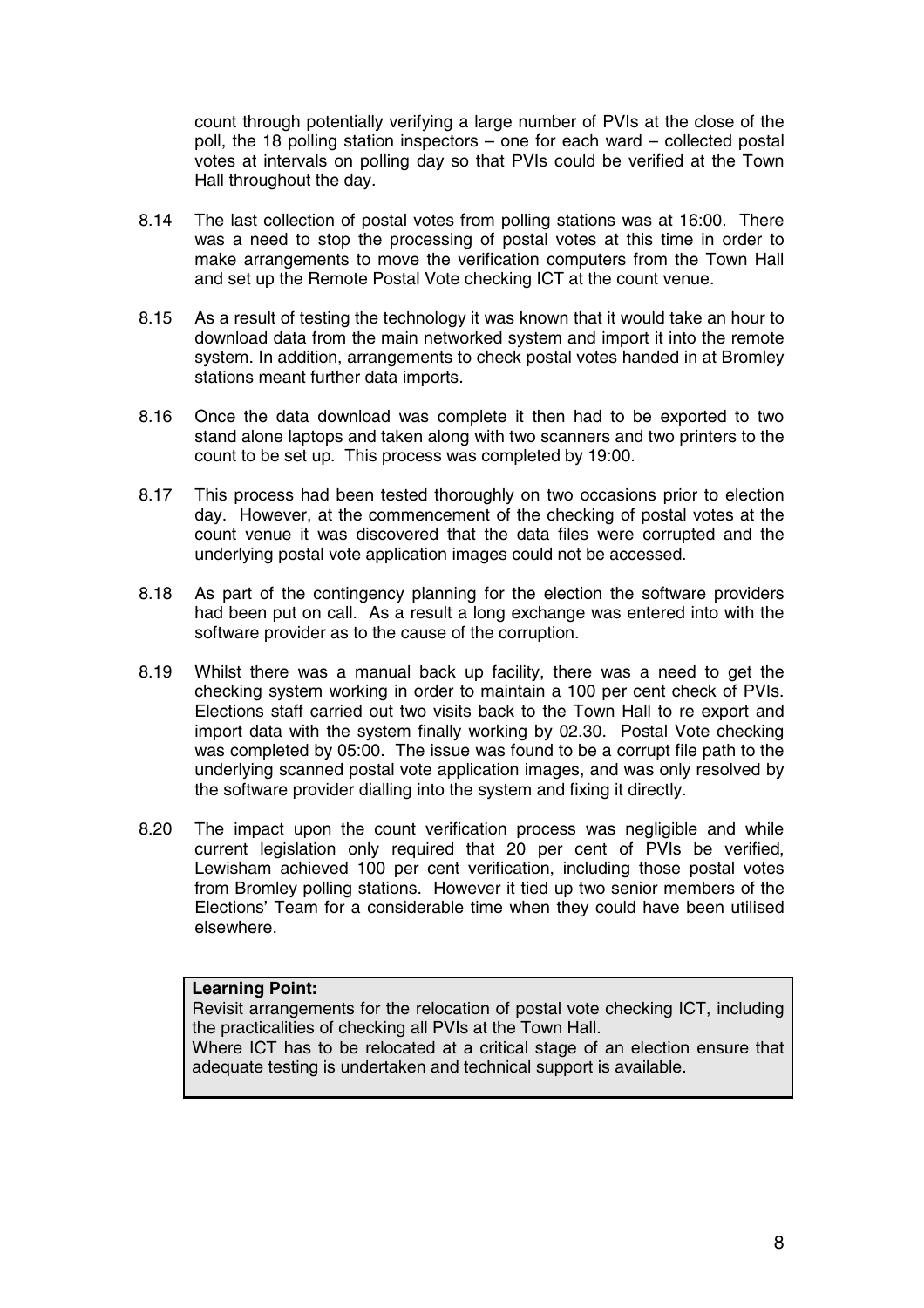count through potentially verifying a large number of PVIs at the close of the poll, the 18 polling station inspectors – one for each ward – collected postal votes at intervals on polling day so that PVIs could be verified at the Town Hall throughout the day.

- 8.14 The last collection of postal votes from polling stations was at 16:00. There was a need to stop the processing of postal votes at this time in order to make arrangements to move the verification computers from the Town Hall and set up the Remote Postal Vote checking ICT at the count venue.
- 8.15 As a result of testing the technology it was known that it would take an hour to download data from the main networked system and import it into the remote system. In addition, arrangements to check postal votes handed in at Bromley stations meant further data imports.
- 8.16 Once the data download was complete it then had to be exported to two stand alone laptops and taken along with two scanners and two printers to the count to be set up. This process was completed by 19:00.
- 8.17 This process had been tested thoroughly on two occasions prior to election day. However, at the commencement of the checking of postal votes at the count venue it was discovered that the data files were corrupted and the underlying postal vote application images could not be accessed.
- 8.18 As part of the contingency planning for the election the software providers had been put on call. As a result a long exchange was entered into with the software provider as to the cause of the corruption.
- 8.19 Whilst there was a manual back up facility, there was a need to get the checking system working in order to maintain a 100 per cent check of PVIs. Elections staff carried out two visits back to the Town Hall to re export and import data with the system finally working by 02.30. Postal Vote checking was completed by 05:00. The issue was found to be a corrupt file path to the underlying scanned postal vote application images, and was only resolved by the software provider dialling into the system and fixing it directly.
- 8.20 The impact upon the count verification process was negligible and while current legislation only required that 20 per cent of PVIs be verified, Lewisham achieved 100 per cent verification, including those postal votes from Bromley polling stations. However it tied up two senior members of the Elections' Team for a considerable time when they could have been utilised elsewhere.

#### **Learning Point:**

Revisit arrangements for the relocation of postal vote checking ICT, including the practicalities of checking all PVIs at the Town Hall.

Where ICT has to be relocated at a critical stage of an election ensure that adequate testing is undertaken and technical support is available.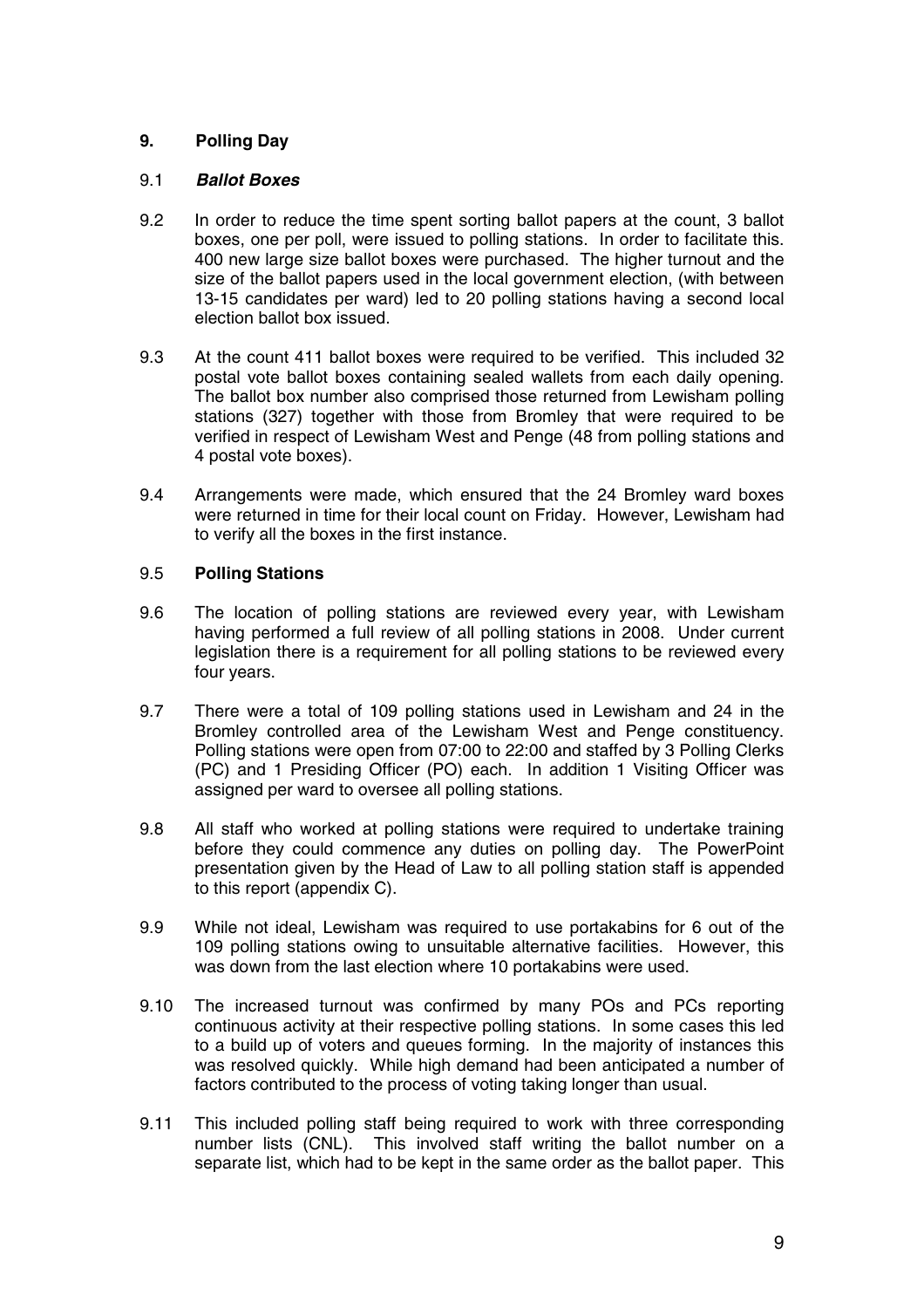# **9. Polling Day**

## 9.1 **Ballot Boxes**

- 9.2 In order to reduce the time spent sorting ballot papers at the count, 3 ballot boxes, one per poll, were issued to polling stations. In order to facilitate this. 400 new large size ballot boxes were purchased. The higher turnout and the size of the ballot papers used in the local government election, (with between 13-15 candidates per ward) led to 20 polling stations having a second local election ballot box issued.
- 9.3 At the count 411 ballot boxes were required to be verified. This included 32 postal vote ballot boxes containing sealed wallets from each daily opening. The ballot box number also comprised those returned from Lewisham polling stations (327) together with those from Bromley that were required to be verified in respect of Lewisham West and Penge (48 from polling stations and 4 postal vote boxes).
- 9.4 Arrangements were made, which ensured that the 24 Bromley ward boxes were returned in time for their local count on Friday. However, Lewisham had to verify all the boxes in the first instance.

## 9.5 **Polling Stations**

- 9.6 The location of polling stations are reviewed every year, with Lewisham having performed a full review of all polling stations in 2008. Under current legislation there is a requirement for all polling stations to be reviewed every four years.
- 9.7 There were a total of 109 polling stations used in Lewisham and 24 in the Bromley controlled area of the Lewisham West and Penge constituency. Polling stations were open from 07:00 to 22:00 and staffed by 3 Polling Clerks (PC) and 1 Presiding Officer (PO) each. In addition 1 Visiting Officer was assigned per ward to oversee all polling stations.
- 9.8 All staff who worked at polling stations were required to undertake training before they could commence any duties on polling day. The PowerPoint presentation given by the Head of Law to all polling station staff is appended to this report (appendix C).
- 9.9 While not ideal, Lewisham was required to use portakabins for 6 out of the 109 polling stations owing to unsuitable alternative facilities. However, this was down from the last election where 10 portakabins were used.
- 9.10 The increased turnout was confirmed by many POs and PCs reporting continuous activity at their respective polling stations. In some cases this led to a build up of voters and queues forming. In the majority of instances this was resolved quickly. While high demand had been anticipated a number of factors contributed to the process of voting taking longer than usual.
- 9.11 This included polling staff being required to work with three corresponding number lists (CNL). This involved staff writing the ballot number on a separate list, which had to be kept in the same order as the ballot paper. This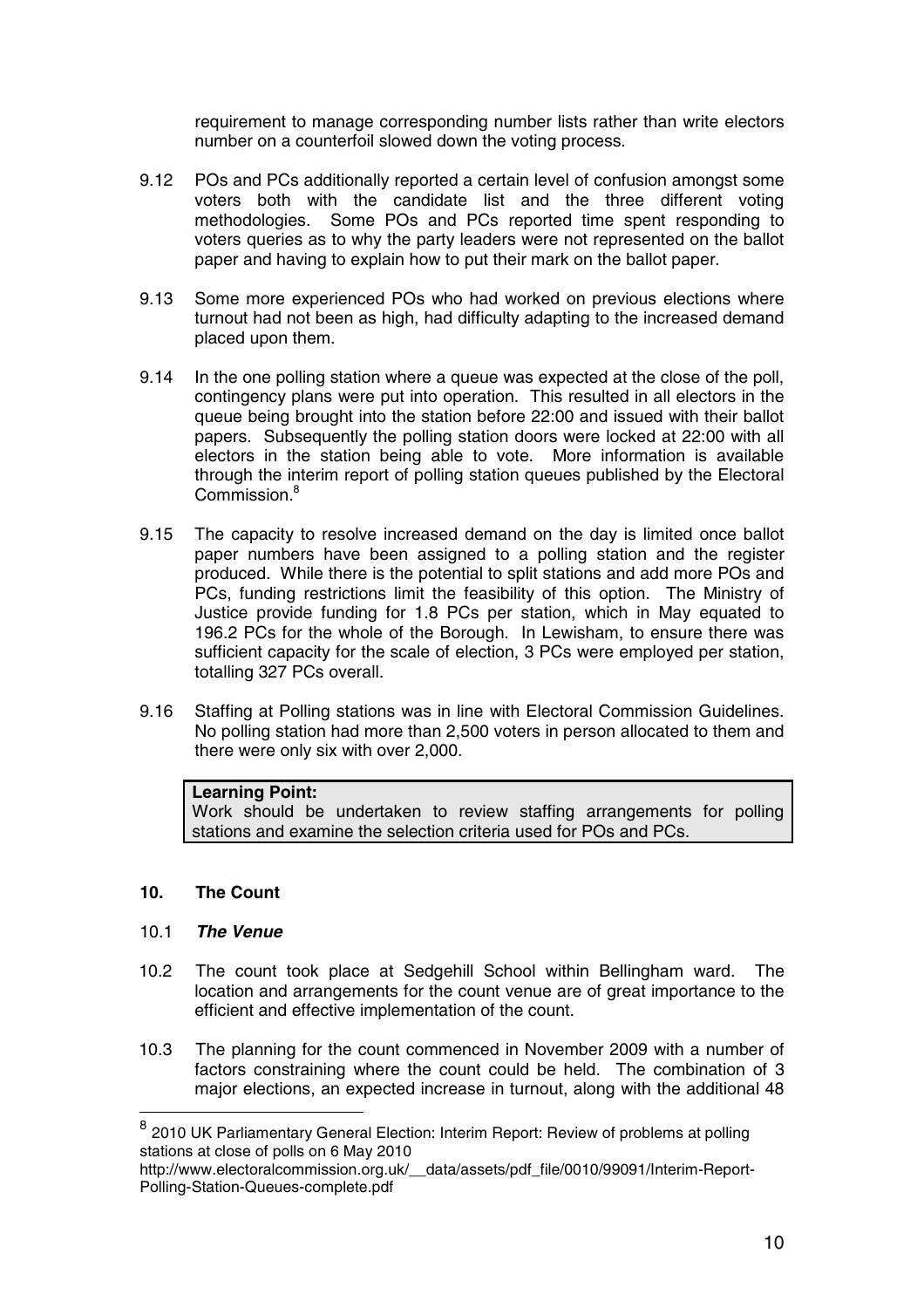requirement to manage corresponding number lists rather than write electors number on a counterfoil slowed down the voting process.

- 9.12 POs and PCs additionally reported a certain level of confusion amongst some voters both with the candidate list and the three different voting methodologies. Some POs and PCs reported time spent responding to voters queries as to why the party leaders were not represented on the ballot paper and having to explain how to put their mark on the ballot paper.
- 9.13 Some more experienced POs who had worked on previous elections where turnout had not been as high, had difficulty adapting to the increased demand placed upon them.
- 9.14 In the one polling station where a queue was expected at the close of the poll, contingency plans were put into operation. This resulted in all electors in the queue being brought into the station before 22:00 and issued with their ballot papers. Subsequently the polling station doors were locked at 22:00 with all electors in the station being able to vote. More information is available through the interim report of polling station queues published by the Electoral Commission.<sup>8</sup>
- 9.15 The capacity to resolve increased demand on the day is limited once ballot paper numbers have been assigned to a polling station and the register produced. While there is the potential to split stations and add more POs and PCs, funding restrictions limit the feasibility of this option. The Ministry of Justice provide funding for 1.8 PCs per station, which in May equated to 196.2 PCs for the whole of the Borough. In Lewisham, to ensure there was sufficient capacity for the scale of election, 3 PCs were employed per station, totalling 327 PCs overall.
- 9.16 Staffing at Polling stations was in line with Electoral Commission Guidelines. No polling station had more than 2,500 voters in person allocated to them and there were only six with over 2,000.

## **Learning Point:**

Work should be undertaken to review staffing arrangements for polling stations and examine the selection criteria used for POs and PCs.

## **10. The Count**

## 10.1 **The Venue**

- 10.2 The count took place at Sedgehill School within Bellingham ward. The location and arrangements for the count venue are of great importance to the efficient and effective implementation of the count.
- 10.3 The planning for the count commenced in November 2009 with a number of factors constraining where the count could be held. The combination of 3 major elections, an expected increase in turnout, along with the additional 48

<sup>8</sup> 2010 UK Parliamentary General Election: Interim Report: Review of problems at polling stations at close of polls on 6 May 2010

http://www.electoralcommission.org.uk/\_\_data/assets/pdf\_file/0010/99091/Interim-Report-Polling-Station-Queues-complete.pdf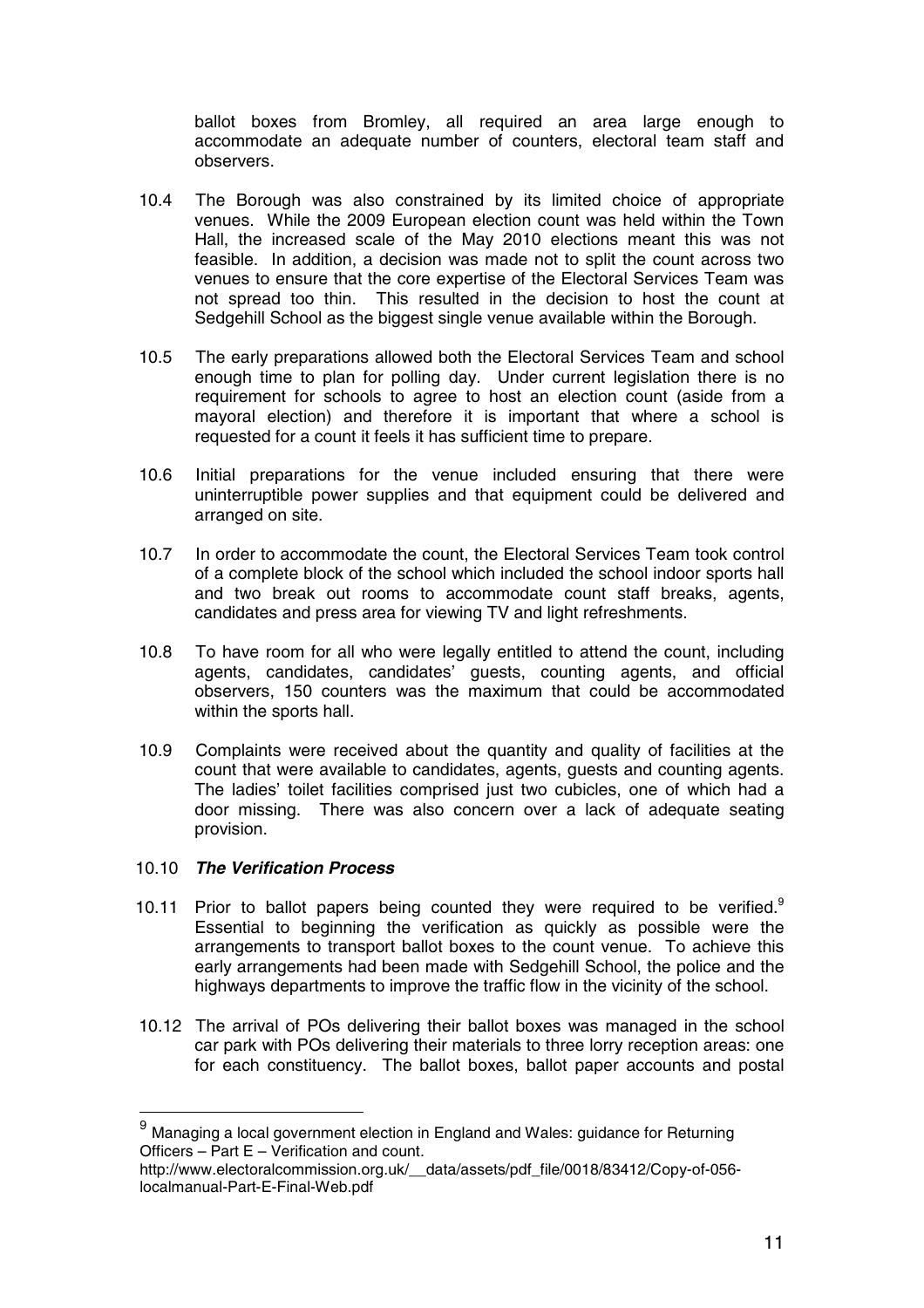ballot boxes from Bromley, all required an area large enough to accommodate an adequate number of counters, electoral team staff and observers.

- 10.4 The Borough was also constrained by its limited choice of appropriate venues. While the 2009 European election count was held within the Town Hall, the increased scale of the May 2010 elections meant this was not feasible. In addition, a decision was made not to split the count across two venues to ensure that the core expertise of the Electoral Services Team was not spread too thin. This resulted in the decision to host the count at Sedgehill School as the biggest single venue available within the Borough.
- 10.5 The early preparations allowed both the Electoral Services Team and school enough time to plan for polling day. Under current legislation there is no requirement for schools to agree to host an election count (aside from a mayoral election) and therefore it is important that where a school is requested for a count it feels it has sufficient time to prepare.
- 10.6 Initial preparations for the venue included ensuring that there were uninterruptible power supplies and that equipment could be delivered and arranged on site.
- 10.7 In order to accommodate the count, the Electoral Services Team took control of a complete block of the school which included the school indoor sports hall and two break out rooms to accommodate count staff breaks, agents, candidates and press area for viewing TV and light refreshments.
- 10.8 To have room for all who were legally entitled to attend the count, including agents, candidates, candidates' guests, counting agents, and official observers, 150 counters was the maximum that could be accommodated within the sports hall.
- 10.9 Complaints were received about the quantity and quality of facilities at the count that were available to candidates, agents, guests and counting agents. The ladies' toilet facilities comprised just two cubicles, one of which had a door missing. There was also concern over a lack of adequate seating provision.

#### 10.10 **The Verification Process**

- 10.11 Prior to ballot papers being counted they were required to be verified.<sup>9</sup> Essential to beginning the verification as quickly as possible were the arrangements to transport ballot boxes to the count venue. To achieve this early arrangements had been made with Sedgehill School, the police and the highways departments to improve the traffic flow in the vicinity of the school.
- 10.12 The arrival of POs delivering their ballot boxes was managed in the school car park with POs delivering their materials to three lorry reception areas: one for each constituency. The ballot boxes, ballot paper accounts and postal

 $9$  Managing a local government election in England and Wales: guidance for Returning Officers – Part E – Verification and count.

http://www.electoralcommission.org.uk/\_\_data/assets/pdf\_file/0018/83412/Copy-of-056 localmanual-Part-E-Final-Web.pdf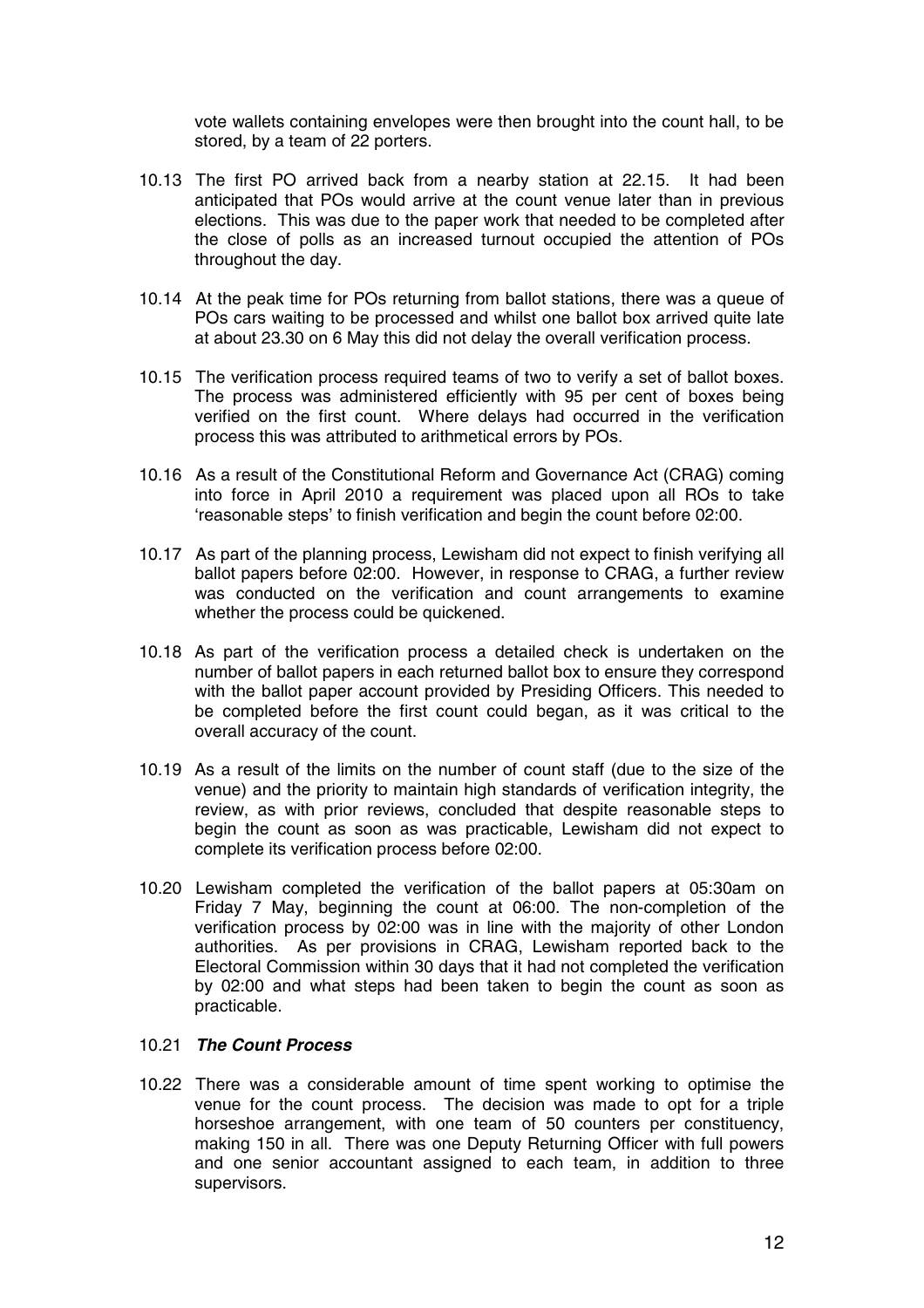vote wallets containing envelopes were then brought into the count hall, to be stored, by a team of 22 porters.

- 10.13 The first PO arrived back from a nearby station at 22.15. It had been anticipated that POs would arrive at the count venue later than in previous elections. This was due to the paper work that needed to be completed after the close of polls as an increased turnout occupied the attention of POs throughout the day.
- 10.14 At the peak time for POs returning from ballot stations, there was a queue of POs cars waiting to be processed and whilst one ballot box arrived quite late at about 23.30 on 6 May this did not delay the overall verification process.
- 10.15 The verification process required teams of two to verify a set of ballot boxes. The process was administered efficiently with 95 per cent of boxes being verified on the first count. Where delays had occurred in the verification process this was attributed to arithmetical errors by POs.
- 10.16 As a result of the Constitutional Reform and Governance Act (CRAG) coming into force in April 2010 a requirement was placed upon all ROs to take 'reasonable steps' to finish verification and begin the count before 02:00.
- 10.17 As part of the planning process, Lewisham did not expect to finish verifying all ballot papers before 02:00. However, in response to CRAG, a further review was conducted on the verification and count arrangements to examine whether the process could be quickened.
- 10.18 As part of the verification process a detailed check is undertaken on the number of ballot papers in each returned ballot box to ensure they correspond with the ballot paper account provided by Presiding Officers. This needed to be completed before the first count could began, as it was critical to the overall accuracy of the count.
- 10.19 As a result of the limits on the number of count staff (due to the size of the venue) and the priority to maintain high standards of verification integrity, the review, as with prior reviews, concluded that despite reasonable steps to begin the count as soon as was practicable, Lewisham did not expect to complete its verification process before 02:00.
- 10.20 Lewisham completed the verification of the ballot papers at 05:30am on Friday 7 May, beginning the count at 06:00. The non-completion of the verification process by 02:00 was in line with the majority of other London authorities. As per provisions in CRAG, Lewisham reported back to the Electoral Commission within 30 days that it had not completed the verification by 02:00 and what steps had been taken to begin the count as soon as practicable.

## 10.21 **The Count Process**

10.22 There was a considerable amount of time spent working to optimise the venue for the count process. The decision was made to opt for a triple horseshoe arrangement, with one team of 50 counters per constituency, making 150 in all. There was one Deputy Returning Officer with full powers and one senior accountant assigned to each team, in addition to three supervisors.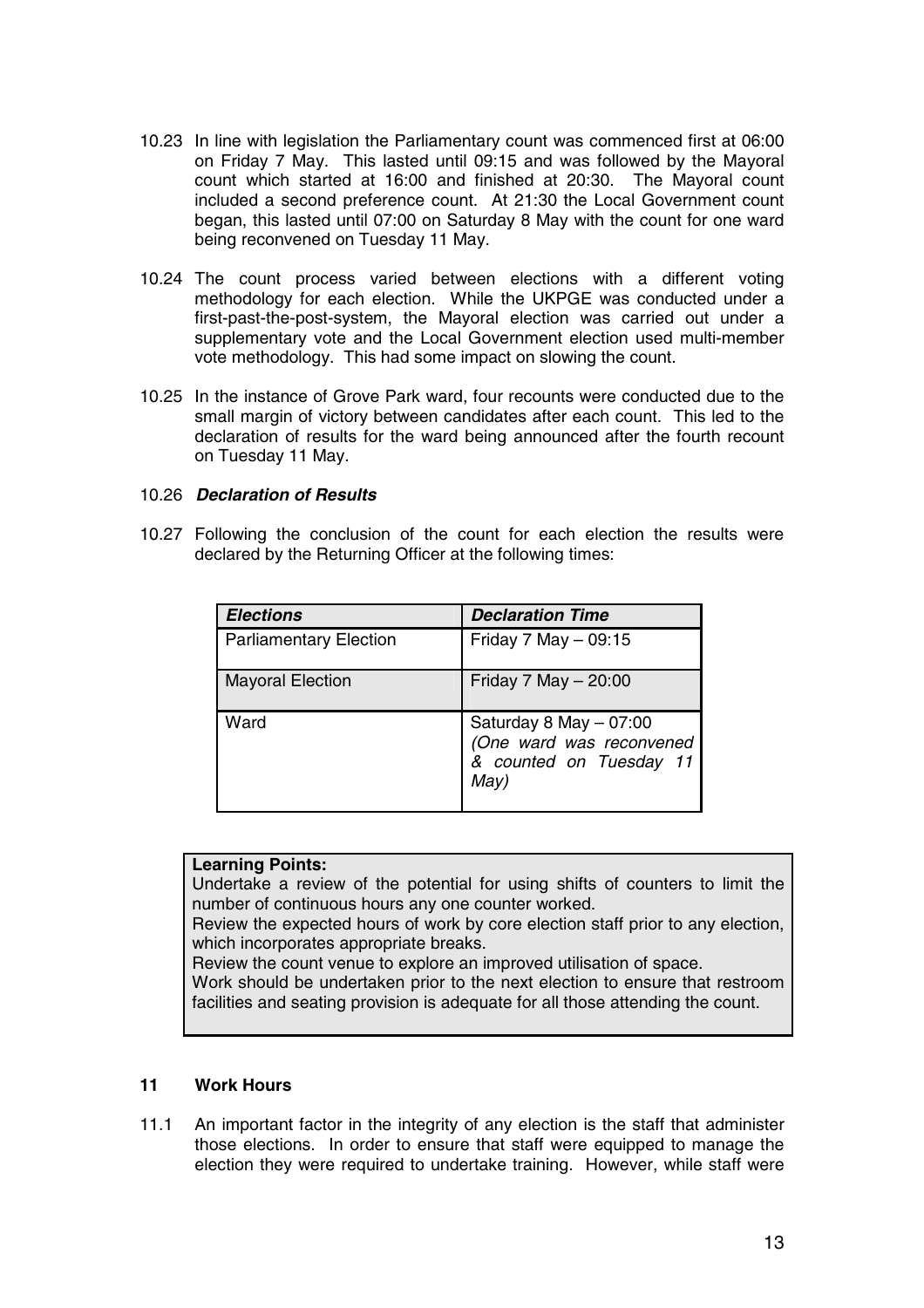- 10.23 In line with legislation the Parliamentary count was commenced first at 06:00 on Friday 7 May. This lasted until 09:15 and was followed by the Mayoral count which started at 16:00 and finished at 20:30. The Mayoral count included a second preference count. At 21:30 the Local Government count began, this lasted until 07:00 on Saturday 8 May with the count for one ward being reconvened on Tuesday 11 May.
- 10.24 The count process varied between elections with a different voting methodology for each election. While the UKPGE was conducted under a first-past-the-post-system, the Mayoral election was carried out under a supplementary vote and the Local Government election used multi-member vote methodology. This had some impact on slowing the count.
- 10.25 In the instance of Grove Park ward, four recounts were conducted due to the small margin of victory between candidates after each count. This led to the declaration of results for the ward being announced after the fourth recount on Tuesday 11 May.

## 10.26 **Declaration of Results**

10.27 Following the conclusion of the count for each election the results were declared by the Returning Officer at the following times:

| <b>Elections</b>              | <b>Declaration Time</b>                                                               |
|-------------------------------|---------------------------------------------------------------------------------------|
| <b>Parliamentary Election</b> | Friday 7 May $-$ 09:15                                                                |
| <b>Mayoral Election</b>       | Friday 7 May $-20:00$                                                                 |
| Ward                          | Saturday 8 May - 07:00<br>(One ward was reconvened<br>& counted on Tuesday 11<br>May) |

## **Learning Points:**

Undertake a review of the potential for using shifts of counters to limit the number of continuous hours any one counter worked.

Review the expected hours of work by core election staff prior to any election, which incorporates appropriate breaks.

Review the count venue to explore an improved utilisation of space.

Work should be undertaken prior to the next election to ensure that restroom facilities and seating provision is adequate for all those attending the count.

## **11 Work Hours**

11.1 An important factor in the integrity of any election is the staff that administer those elections. In order to ensure that staff were equipped to manage the election they were required to undertake training. However, while staff were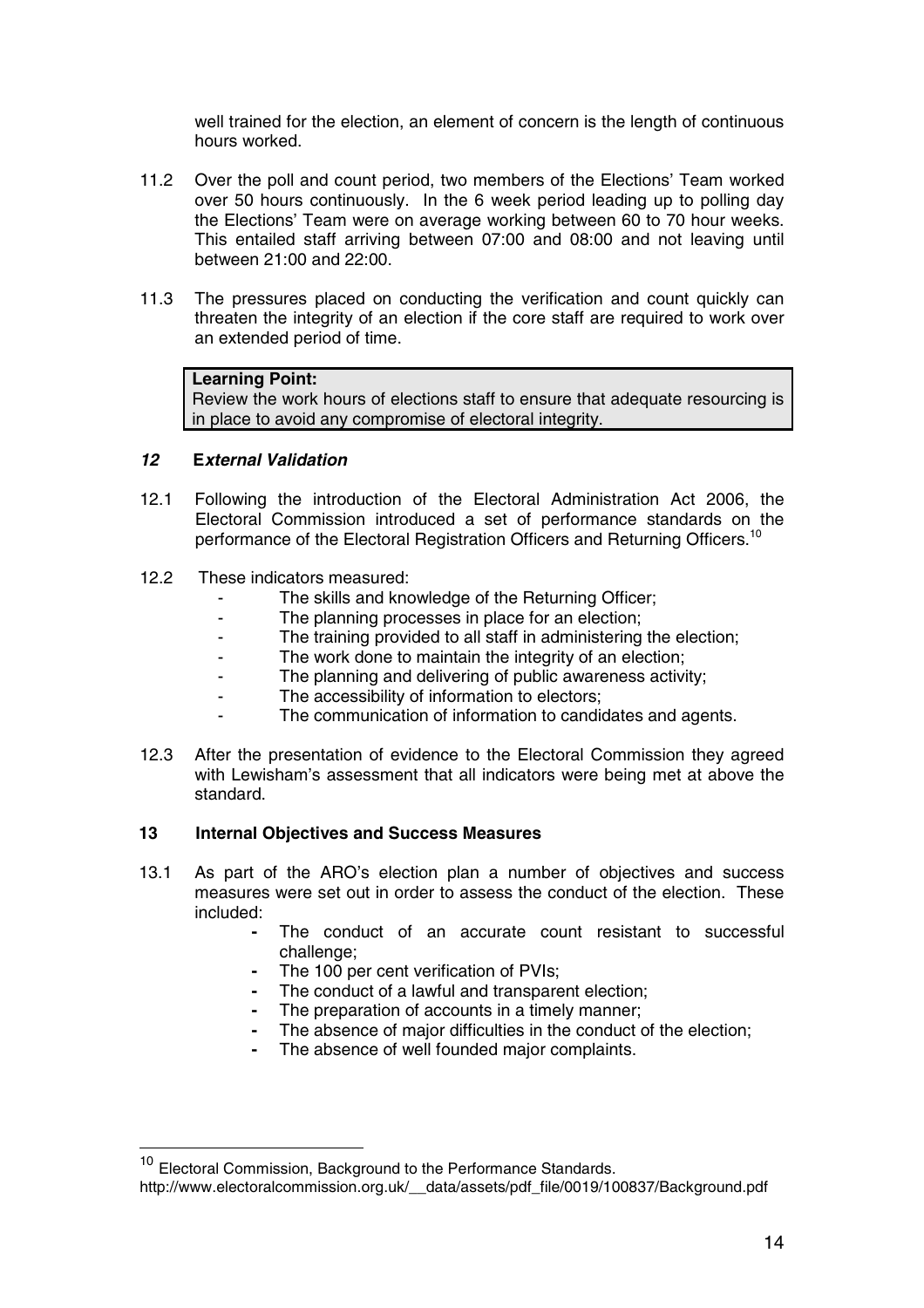well trained for the election, an element of concern is the length of continuous hours worked.

- 11.2 Over the poll and count period, two members of the Elections' Team worked over 50 hours continuously. In the 6 week period leading up to polling day the Elections' Team were on average working between 60 to 70 hour weeks. This entailed staff arriving between 07:00 and 08:00 and not leaving until between 21:00 and 22:00.
- 11.3 The pressures placed on conducting the verification and count quickly can threaten the integrity of an election if the core staff are required to work over an extended period of time.

### **Learning Point:**

Review the work hours of elections staff to ensure that adequate resourcing is in place to avoid any compromise of electoral integrity.

### **12 External Validation**

- 12.1 Following the introduction of the Electoral Administration Act 2006, the Electoral Commission introduced a set of performance standards on the performance of the Electoral Registration Officers and Returning Officers.<sup>10</sup>
- 12.2 These indicators measured:
	- The skills and knowledge of the Returning Officer;
	- The planning processes in place for an election;
	- The training provided to all staff in administering the election;
	- The work done to maintain the integrity of an election;
	- The planning and delivering of public awareness activity;
	- The accessibility of information to electors;
	- The communication of information to candidates and agents.
- 12.3 After the presentation of evidence to the Electoral Commission they agreed with Lewisham's assessment that all indicators were being met at above the standard.

#### **13 Internal Objectives and Success Measures**

- 13.1 As part of the ARO's election plan a number of objectives and success measures were set out in order to assess the conduct of the election. These included:
	- The conduct of an accurate count resistant to successful challenge;
	- **-** The 100 per cent verification of PVIs;
	- **-** The conduct of a lawful and transparent election;
	- The preparation of accounts in a timely manner;
	- **-** The absence of major difficulties in the conduct of the election;
	- **-** The absence of well founded major complaints.

<sup>&</sup>lt;sup>10</sup> Electoral Commission, Background to the Performance Standards.

http://www.electoralcommission.org.uk/ data/assets/pdf file/0019/100837/Background.pdf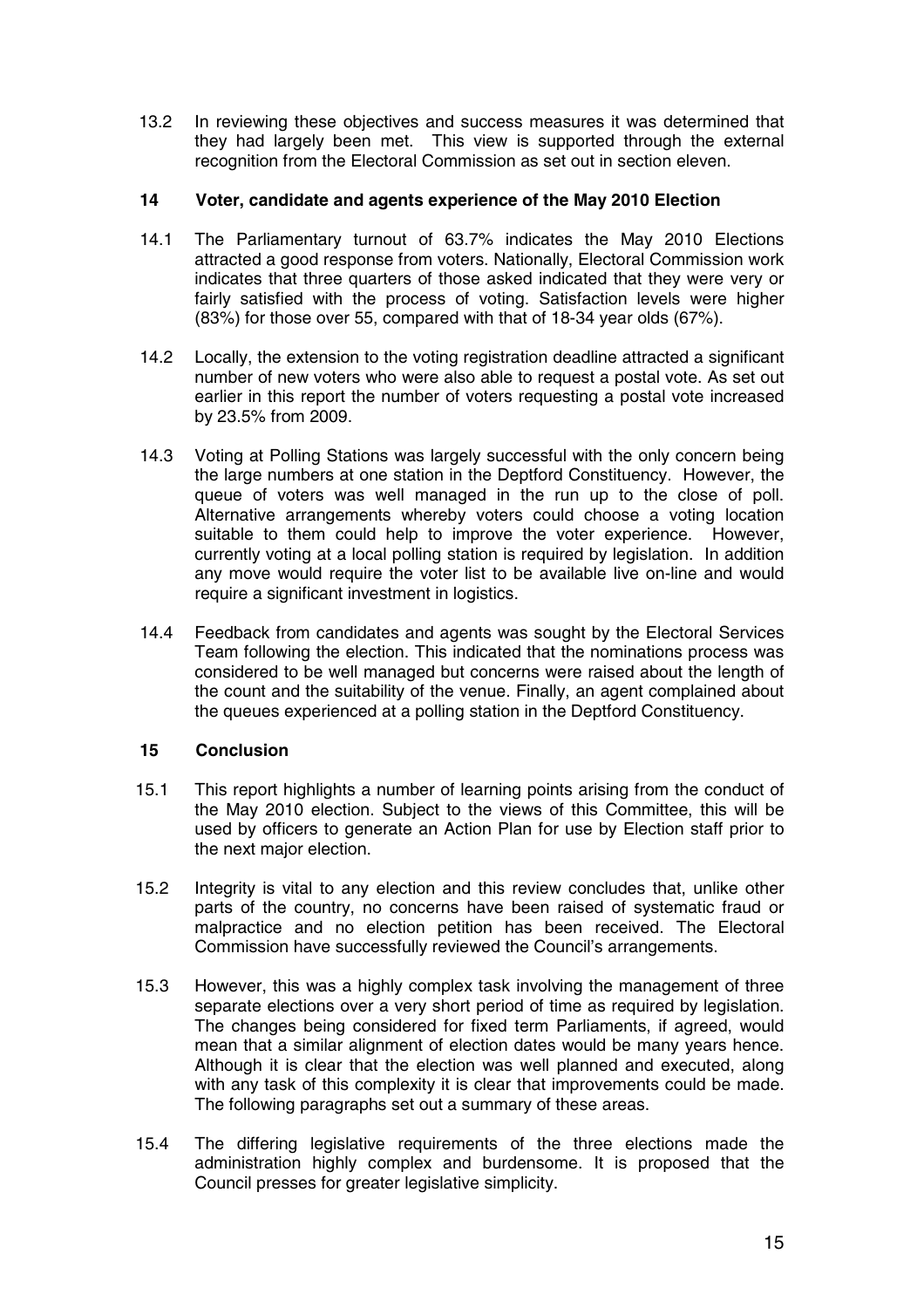13.2 In reviewing these objectives and success measures it was determined that they had largely been met. This view is supported through the external recognition from the Electoral Commission as set out in section eleven.

## **14 Voter, candidate and agents experience of the May 2010 Election**

- 14.1 The Parliamentary turnout of 63.7% indicates the May 2010 Elections attracted a good response from voters. Nationally, Electoral Commission work indicates that three quarters of those asked indicated that they were very or fairly satisfied with the process of voting. Satisfaction levels were higher (83%) for those over 55, compared with that of 18-34 year olds (67%).
- 14.2 Locally, the extension to the voting registration deadline attracted a significant number of new voters who were also able to request a postal vote. As set out earlier in this report the number of voters requesting a postal vote increased by 23.5% from 2009.
- 14.3 Voting at Polling Stations was largely successful with the only concern being the large numbers at one station in the Deptford Constituency. However, the queue of voters was well managed in the run up to the close of poll. Alternative arrangements whereby voters could choose a voting location suitable to them could help to improve the voter experience. However, currently voting at a local polling station is required by legislation. In addition any move would require the voter list to be available live on-line and would require a significant investment in logistics.
- 14.4 Feedback from candidates and agents was sought by the Electoral Services Team following the election. This indicated that the nominations process was considered to be well managed but concerns were raised about the length of the count and the suitability of the venue. Finally, an agent complained about the queues experienced at a polling station in the Deptford Constituency.

## **15 Conclusion**

- 15.1 This report highlights a number of learning points arising from the conduct of the May 2010 election. Subject to the views of this Committee, this will be used by officers to generate an Action Plan for use by Election staff prior to the next major election.
- 15.2 Integrity is vital to any election and this review concludes that, unlike other parts of the country, no concerns have been raised of systematic fraud or malpractice and no election petition has been received. The Electoral Commission have successfully reviewed the Council's arrangements.
- 15.3 However, this was a highly complex task involving the management of three separate elections over a very short period of time as required by legislation. The changes being considered for fixed term Parliaments, if agreed, would mean that a similar alignment of election dates would be many years hence. Although it is clear that the election was well planned and executed, along with any task of this complexity it is clear that improvements could be made. The following paragraphs set out a summary of these areas.
- 15.4 The differing legislative requirements of the three elections made the administration highly complex and burdensome. It is proposed that the Council presses for greater legislative simplicity.